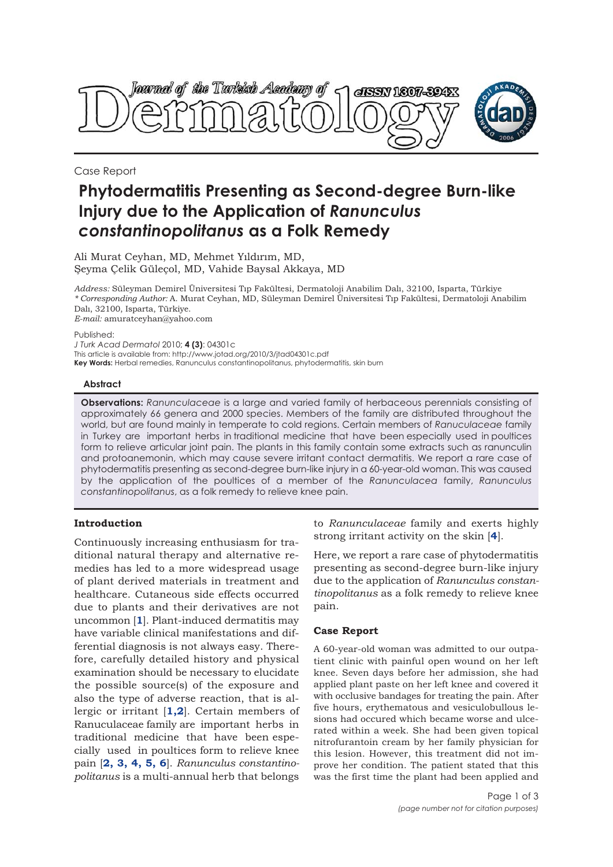

Case Report

# **Phytodermatitis Presenting as Second-degree Burn-like Injury due to the Application of** *Ranunculus constantinopolitanus* **as a Folk Remedy**

Ali Murat Ceyhan, MD, Mehmet Yıldırım, MD, Şeyma Çelik Güleçol, MD, Vahide Baysal Akkaya, MD

*Address:* Süleyman Demirel Üniversitesi Tıp Fakültesi, Dermatoloji Anabilim Dalı, 32100, Isparta, Türkiye *\* Corresponding Author:* A. Murat Ceyhan, MD, Süleyman Demirel Üniversitesi Tıp Fakültesi, Dermatoloji Anabilim Dalı, 32100, Isparta, Türkiye. *E-mail:* amuratceyhan@yahoo.com

Published:

*J Turk Acad Dermatol* 2010; **4 (3)**: 04301c

This article is available from: http://www.jotad.org/2010/3/jtad04301c.pdf **Key Words:** Herbal remedies, Ranunculus constantinopolitanus, phytodermatitis, skin burn

## **Abstract**

**Observations:** *Ranunculaceae* is a large and varied family of herbaceous perennials consisting of approximately 66 genera and 2000 species. Members of the family are distributed throughout the world, but are found mainly in temperate to cold regions. Certain members of *Ranuculaceae* family in Turkey are important herbs in traditional medicine that have been especially used in poultices form to relieve articular joint pain. The plants in this family contain some extracts such as ranunculin and protoanemonin, which may cause severe irritant contact dermatitis. We report a rare case of phytodermatitis presenting as second-degree burn-like injury in a 60-year-old woman. This was caused by the application of the poultices of a member of the *Ranunculacea* family, *Ranunculus constantinopolitanus*, as a folk remedy to relieve knee pain.

## **Introduction**

Continuously increasing enthusiasm for traditional natural therapy and alternative remedies has led to a more widespread usage of plant derived materials in treatment and healthcare. Cutaneous side effects occurred due to plants and their derivatives are not uncommon [**1**]. Plant-induced dermatitis may have variable clinical manifestations and differential diagnosis is not always easy. Therefore, carefully detailed history and physical examination should be necessary to elucidate the possible source(s) of the exposure and also the type of adverse reaction, that is allergic or irritant [**1,2**]. Certain members of Ranuculaceae family are important herbs in traditional medicine that have been especially used in poultices form to relieve knee pain [**2, 3, 4, 5, 6**]. *Ranunculus constantinopolitanus* is a multi-annual herb that belongs

to *Ranunculaceae* family and exerts highly strong irritant activity on the skin [**4**].

Here, we report a rare case of phytodermatitis presenting as second-degree burn-like injury due to the application of *Ranunculus constantinopolitanus* as a folk remedy to relieve knee pain.

## **Case Report**

A 60-year-old woman was admitted to our outpatient clinic with painful open wound on her left knee. Seven days before her admission, she had applied plant paste on her left knee and covered it with occlusive bandages for treating the pain. After five hours, erythematous and vesiculobullous lesions had occured which became worse and ulcerated within a week. She had been given topical nitrofurantoin cream by her family physician for this lesion. However, this treatment did not improve her condition. The patient stated that this was the first time the plant had been applied and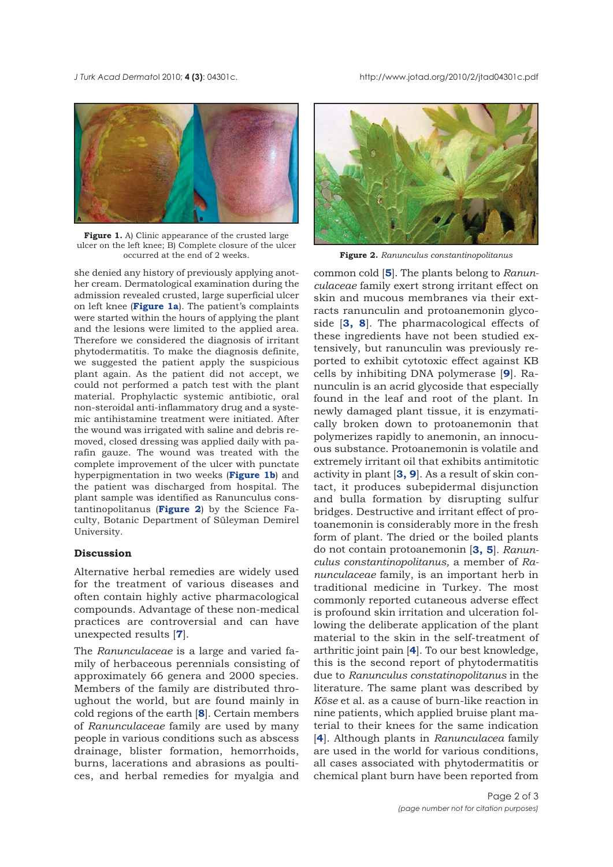*J Turk Acad Dermato*l 2010; **4 (3)**: 04301c. http://www.jotad.org/2010/2/jtad04301c.pdf



Figure 1. A) Clinic appearance of the crusted large ulcer on the left knee; B) Complete closure of the ulcer occurred at the end of 2 weeks.

she denied any history of previously applying another cream. Dermatological examination during the admission revealed crusted, large superficial ulcer on left knee (**Figure 1a**). The patient's complaints were started within the hours of applying the plant and the lesions were limited to the applied area. Therefore we considered the diagnosis of irritant phytodermatitis. To make the diagnosis definite, we suggested the patient apply the suspicious plant again. As the patient did not accept, we could not performed a patch test with the plant material. Prophylactic systemic antibiotic, oral non-steroidal anti-inflammatory drug and a systemic antihistamine treatment were initiated. After the wound was irrigated with saline and debris removed, closed dressing was applied daily with parafin gauze. The wound was treated with the complete improvement of the ulcer with punctate hyperpigmentation in two weeks (**Figure 1b**) and the patient was discharged from hospital. The plant sample was identified as Ranunculus constantinopolitanus (**Figure 2**) by the Science Faculty, Botanic Department of Süleyman Demirel University.

## **Discussion**

Alternative herbal remedies are widely used for the treatment of various diseases and often contain highly active pharmacological compounds. Advantage of these non-medical practices are controversial and can have unexpected results [**7**].

The *Ranunculaceae* is a large and varied family of herbaceous perennials consisting of approximately 66 genera and 2000 species. Members of the family are distributed throughout the world, but are found mainly in cold regions of the earth [**8**]. Certain members of *Ranunculaceae* family are used by many people in various conditions such as abscess drainage, blister formation, hemorrhoids, burns, lacerations and abrasions as poultices, and herbal remedies for myalgia and



Figure 2. Ranunculus constantinopolitanus

common cold [**5**]. The plants belong to *Ranunculaceae* family exert strong irritant effect on skin and mucous membranes via their extracts ranunculin and protoanemonin glycoside [**3, 8**]. The pharmacological effects of these ingredients have not been studied extensively, but ranunculin was previously reported to exhibit cytotoxic effect against KB cells by inhibiting DNA polymerase [**9**]. Ranunculin is an acrid glycoside that especially found in the leaf and root of the plant. In newly damaged plant tissue, it is enzymatically broken down to protoanemonin that polymerizes rapidly to anemonin, an innocuous substance. Protoanemonin is volatile and extremely irritant oil that exhibits antimitotic activity in plant [**3, 9**]. As a result of skin contact, it produces subepidermal disjunction and bulla formation by disrupting sulfur bridges. Destructive and irritant effect of protoanemonin is considerably more in the fresh form of plant. The dried or the boiled plants do not contain protoanemonin [**3, 5**]. *Ranunculus constantinopolitanus,* a member of *Ranunculaceae* family, is an important herb in traditional medicine in Turkey. The most commonly reported cutaneous adverse effect is profound skin irritation and ulceration following the deliberate application of the plant material to the skin in the self-treatment of arthritic joint pain [**4**]. To our best knowledge, this is the second report of phytodermatitis due to *Ranunculus constatinopolitanus* in the literature. The same plant was described by *Köse* et al. as a cause of burn-like reaction in nine patients, which applied bruise plant material to their knees for the same indication [**4**]. Although plants in *Ranunculacea* family are used in the world for various conditions, all cases associated with phytodermatitis or chemical plant burn have been reported from